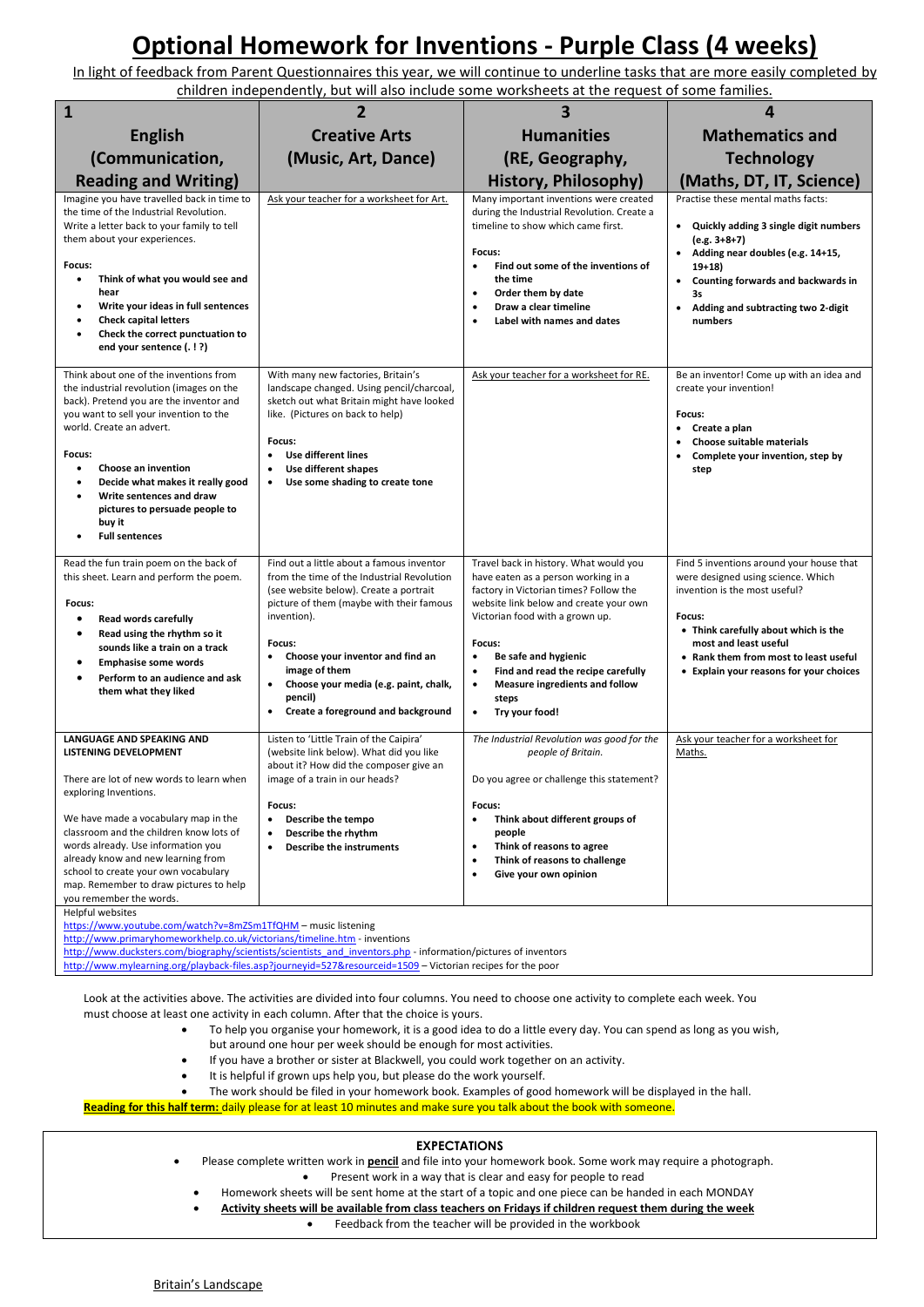## **Optional Homework for Inventions - Purple Class (4 weeks)**

In light of feedback from Parent Questionnaires this year, we will continue to underline tasks that are more easily completed by children independently, but will also include some worksheets at the request of some families.

| $\mathbf{1}$                                                                                                                                                                                                                                                                                                                                                                                                                                                                                                                                                                        | 2                                                                                                                                                                                                                                                                                                                                                                                            | 3                                                                                                                                                                                                                                                                                                                                                                                     | 4                                                                                                                                                                                                                                                                              |
|-------------------------------------------------------------------------------------------------------------------------------------------------------------------------------------------------------------------------------------------------------------------------------------------------------------------------------------------------------------------------------------------------------------------------------------------------------------------------------------------------------------------------------------------------------------------------------------|----------------------------------------------------------------------------------------------------------------------------------------------------------------------------------------------------------------------------------------------------------------------------------------------------------------------------------------------------------------------------------------------|---------------------------------------------------------------------------------------------------------------------------------------------------------------------------------------------------------------------------------------------------------------------------------------------------------------------------------------------------------------------------------------|--------------------------------------------------------------------------------------------------------------------------------------------------------------------------------------------------------------------------------------------------------------------------------|
| <b>English</b>                                                                                                                                                                                                                                                                                                                                                                                                                                                                                                                                                                      | <b>Creative Arts</b>                                                                                                                                                                                                                                                                                                                                                                         | <b>Humanities</b>                                                                                                                                                                                                                                                                                                                                                                     | <b>Mathematics and</b>                                                                                                                                                                                                                                                         |
| (Communication,                                                                                                                                                                                                                                                                                                                                                                                                                                                                                                                                                                     | (Music, Art, Dance)                                                                                                                                                                                                                                                                                                                                                                          | (RE, Geography,                                                                                                                                                                                                                                                                                                                                                                       | <b>Technology</b>                                                                                                                                                                                                                                                              |
| <b>Reading and Writing)</b>                                                                                                                                                                                                                                                                                                                                                                                                                                                                                                                                                         |                                                                                                                                                                                                                                                                                                                                                                                              | History, Philosophy)                                                                                                                                                                                                                                                                                                                                                                  | (Maths, DT, IT, Science)                                                                                                                                                                                                                                                       |
| Imagine you have travelled back in time to<br>the time of the Industrial Revolution.<br>Write a letter back to your family to tell<br>them about your experiences.<br>Focus:<br>Think of what you would see and<br>$\bullet$<br>hear<br>Write your ideas in full sentences<br><b>Check capital letters</b><br>Check the correct punctuation to<br>end your sentence (.!?)                                                                                                                                                                                                           | Ask your teacher for a worksheet for Art.                                                                                                                                                                                                                                                                                                                                                    | Many important inventions were created<br>during the Industrial Revolution. Create a<br>timeline to show which came first.<br>Focus:<br>Find out some of the inventions of<br>$\bullet$<br>the time<br>Order them by date<br>$\bullet$<br>Draw a clear timeline<br>٠<br>Label with names and dates<br>$\bullet$                                                                       | Practise these mental maths facts:<br>• Quickly adding 3 single digit numbers<br>$(e.g. 3+8+7)$<br>• Adding near doubles (e.g. 14+15,<br>$19+18$<br>• Counting forwards and backwards in<br>3s<br>Adding and subtracting two 2-digit<br>$\bullet$<br>numbers                   |
| Think about one of the inventions from<br>the industrial revolution (images on the<br>back). Pretend you are the inventor and<br>you want to sell your invention to the<br>world. Create an advert.<br>Focus:<br>$\bullet$<br>Choose an invention<br>Decide what makes it really good<br>Write sentences and draw<br>$\bullet$<br>pictures to persuade people to<br>buy it<br><b>Full sentences</b>                                                                                                                                                                                 | With many new factories, Britain's<br>landscape changed. Using pencil/charcoal,<br>sketch out what Britain might have looked<br>like. (Pictures on back to help)<br>Focus:<br><b>Use different lines</b><br>$\bullet$<br>Use different shapes<br>$\bullet$<br>Use some shading to create tone                                                                                                | Ask your teacher for a worksheet for RE.                                                                                                                                                                                                                                                                                                                                              | Be an inventor! Come up with an idea and<br>create your invention!<br>Focus:<br>Create a plan<br>٠<br>Choose suitable materials<br>٠<br>Complete your invention, step by<br>step                                                                                               |
| Read the fun train poem on the back of<br>this sheet. Learn and perform the poem.<br>Focus:<br>Read words carefully<br>$\bullet$<br>Read using the rhythm so it<br>sounds like a train on a track<br><b>Emphasise some words</b><br>Perform to an audience and ask<br>them what they liked                                                                                                                                                                                                                                                                                          | Find out a little about a famous inventor<br>from the time of the Industrial Revolution<br>(see website below). Create a portrait<br>picture of them (maybe with their famous<br>invention).<br>Focus:<br>Choose your inventor and find an<br>$\bullet$<br>image of them<br>Choose your media (e.g. paint, chalk,<br>$\bullet$<br>pencil)<br>Create a foreground and background<br>$\bullet$ | Travel back in history. What would you<br>have eaten as a person working in a<br>factory in Victorian times? Follow the<br>website link below and create your own<br>Victorian food with a grown up.<br>Focus:<br>Be safe and hygienic<br>$\bullet$<br>Find and read the recipe carefully<br>٠<br>Measure ingredients and follow<br>$\bullet$<br>steps<br>$\bullet$<br>Try your food! | Find 5 inventions around your house that<br>were designed using science. Which<br>invention is the most useful?<br>Focus:<br>• Think carefully about which is the<br>most and least useful<br>• Rank them from most to least useful<br>• Explain your reasons for your choices |
| <b>LANGUAGE AND SPEAKING AND</b><br><b>LISTENING DEVELOPMENT</b><br>There are lot of new words to learn when<br>exploring Inventions.<br>We have made a vocabulary map in the<br>classroom and the children know lots of<br>words already. Use information you<br>already know and new learning from<br>school to create your own vocabulary<br>map. Remember to draw pictures to help<br>you remember the words.<br>Helpful websites<br>https://www.youtube.com/watch?v=8mZSm1TfQHM - music listening<br>http://www.primaryhomeworkhelp.co.uk/victorians/timeline.htm - inventions | Listen to 'Little Train of the Caipira'<br>(website link below). What did you like<br>about it? How did the composer give an<br>image of a train in our heads?<br>Focus:<br>Describe the tempo<br>٠<br>Describe the rhythm<br>$\bullet$<br><b>Describe the instruments</b><br>$\bullet$                                                                                                      | The Industrial Revolution was good for the<br>people of Britain.<br>Do you agree or challenge this statement?<br>Focus:<br>Think about different groups of<br>٠<br>people<br>Think of reasons to agree<br>٠<br>Think of reasons to challenge<br>$\bullet$<br>Give your own opinion<br>٠                                                                                               | Ask your teacher for a worksheet for<br>Maths.                                                                                                                                                                                                                                 |

<http://www.mylearning.org/playback-files.asp?journeyid=527&resourceid=1509> - Victorian recipes for the poor

Look at the activities above. The activities are divided into four columns. You need to choose one activity to complete each week. You must choose at least one activity in each column. After that the choice is yours.

- To help you organise your homework, it is a good idea to do a little every day. You can spend as long as you wish,
	- but around one hour per week should be enough for most activities.
- If you have a brother or sister at Blackwell, you could work together on an activity.
- It is helpful if grown ups help you, but please do the work yourself.
- The work should be filed in your homework book. Examples of good homework will be displayed in the hall.

**Reading for this half term:** daily please for at least 10 minutes and make sure you talk about the book with someone.

## **EXPECTATIONS**

- Please complete written work in **pencil** and file into your homework book. Some work may require a photograph.
	- Present work in a way that is clear and easy for people to read
	- Homework sheets will be sent home at the start of a topic and one piece can be handed in each MONDAY
- **Activity sheets will be available from class teachers on Fridays if children request them during the week**
	- Feedback from the teacher will be provided in the workbook